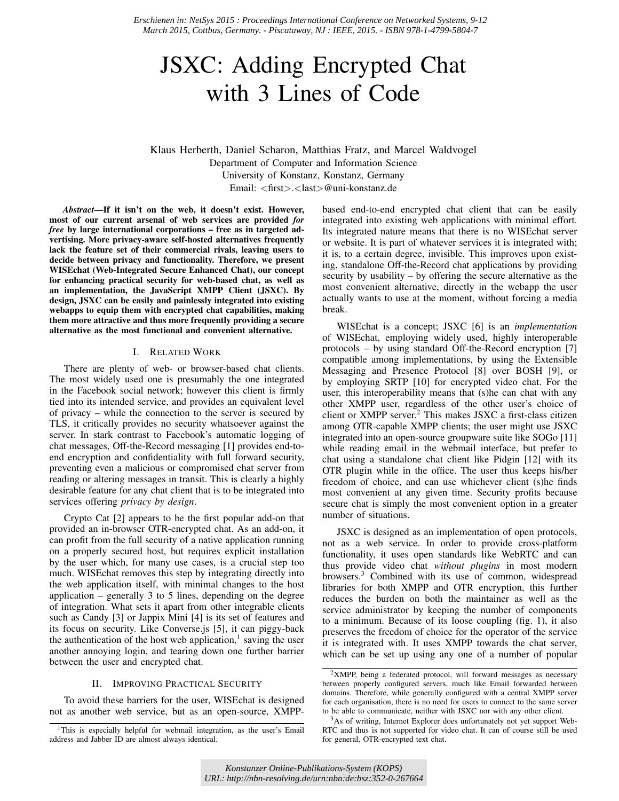*Erschienen in: NetSys 2015 : Proceedings International Conference on Networked Systems, 9-12 March 2015, Cottbus, Germany. - Piscataway, NJ : IEEE, 2015. - ISBN 978-1-4799-5804-7*

# JSXC: Adding Encrypted Chat with 3 Lines of Code

Klaus Herberth, Daniel Scharon, Matthias Fratz, and Marcel Waldvogel Department of Computer and Information Science University of Konstanz, Konstanz, Germany Email: <first>.<last>@uni-konstanz.de

*Abstract*—If it isn't on the web, it doesn't exist. However, most of our current arsenal of web services are provided *for free* by large international corporations – free as in targeted advertising. More privacy-aware self-hosted alternatives frequently lack the feature set of their commercial rivals, leaving users to decide between privacy and functionality. Therefore, we present WISEchat (Web-Integrated Secure Enhanced Chat), our concept for enhancing practical security for web-based chat, as well as an implementation, the JavaScript XMPP Client (JSXC). By design, JSXC can be easily and painlessly integrated into existing webapps to equip them with encrypted chat capabilities, making them more attractive and thus more frequently providing a secure alternative as the most functional and convenient alternative.

## I. RELATED WORK

There are plenty of web- or browser-based chat clients. The most widely used one is presumably the one integrated in the Facebook social network; however this client is firmly tied into its intended service, and provides an equivalent level of privacy – while the connection to the server is secured by TLS, it critically provides no security whatsoever against the server. In stark contrast to Facebook's automatic logging of chat messages, Off-the-Record messaging [1] provides end-toend encryption and confidentiality with full forward security, preventing even a malicious or compromised chat server from reading or altering messages in transit. This is clearly a highly desirable feature for any chat client that is to be integrated into services offering *privacy by design*.

Crypto Cat [2] appears to be the first popular add-on that provided an in-browser OTR-encrypted chat. As an add-on, it can profit from the full security of a native application running on a properly secured host, but requires explicit installation by the user which, for many use cases, is a crucial step too much. WISEchat removes this step by integrating directly into the web application itself, with minimal changes to the host application  $-$  generally 3 to 5 lines, depending on the degree of integration. What sets it apart from other integrable clients such as Candy [3] or Jappix Mini [4] is its set of features and its focus on security. Like Converse.js [5], it can piggy-back the authentication of the host web application, $<sup>1</sup>$  saving the user</sup> another annoying login, and tearing down one further barrier between the user and encrypted chat.

#### II. IMPROVING PRACTICAL SECURITY

To avoid these barriers for the user, WISEchat is designed not as another web service, but as an open-source, XMPP-

based end-to-end encrypted chat client that can be easily integrated into existing web applications with minimal effort. Its integrated nature means that there is no WISEchat server or website. It is part of whatever services it is integrated with; it is, to a certain degree, invisible. This improves upon existing, standalone Off-the-Record chat applications by providing security by usability – by offering the secure alternative as the most convenient alternative, directly in the webapp the user actually wants to use at the moment, without forcing a media break.

WISEchat is a concept; JSXC [6] is an *implementation* of WISEchat, employing widely used, highly interoperable protocols – by using standard Off-the-Record encryption [7] compatible among implementations, by using the Extensible Messaging and Presence Protocol [8] over BOSH [9], or by employing SRTP [10] for encrypted video chat. For the user, this interoperability means that (s)he can chat with any other XMPP user, regardless of the other user's choice of client or XMPP server.<sup>2</sup> This makes JSXC a first-class citizen among OTR-capable XMPP clients; the user might use JSXC integrated into an open-source groupware suite like SOGo [11] while reading email in the webmail interface, but prefer to chat using a standalone chat client like Pidgin [12] with its OTR plugin while in the office. The user thus keeps his/her freedom of choice, and can use whichever client (s)he finds most convenient at any given time. Security profits because secure chat is simply the most convenient option in a greater number of situations.

JSXC is designed as an implementation of open protocols, not as a web service. In order to provide cross-platform functionality, it uses open standards like WebRTC and can thus provide video chat *without plugins* in most modern browsers.<sup>3</sup> Combined with its use of common, widespread libraries for both XMPP and OTR encryption, this further reduces the burden on both the maintainer as well as the service administrator by keeping the number of components to a minimum. Because of its loose coupling (fig. 1), it also preserves the freedom of choice for the operator of the service it is integrated with. It uses XMPP towards the chat server, which can be set up using any one of a number of popular

<sup>&</sup>lt;sup>1</sup>This is especially helpful for webmail integration, as the user's Email address and Jabber ID are almost always identical.

<sup>2</sup>XMPP, being a federated protocol, will forward messages as necessary between properly configured servers, much like Email forwarded between domains. Therefore, while generally configured with a central XMPP server for each organisation, there is no need for users to connect to the same server to be able to communicate, neither with JSXC nor with any other client.

<sup>&</sup>lt;sup>3</sup>As of writing, Internet Explorer does unfortunately not yet support Web-RTC and thus is not supported for video chat. It can of course still be used for general, OTR-encrypted text chat.